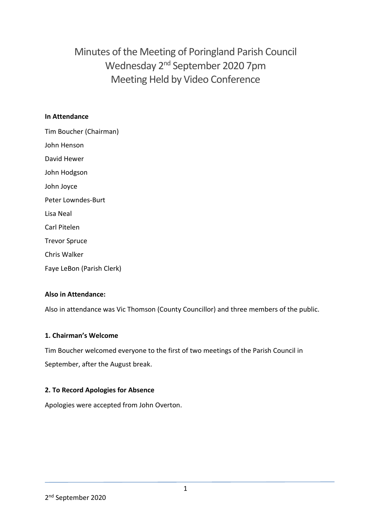Minutes of the Meeting of Poringland Parish Council Wednesday 2<sup>nd</sup> September 2020 7pm Meeting Held by Video Conference

### **In Attendance**

Tim Boucher (Chairman) John Henson David Hewer John Hodgson John Joyce Peter Lowndes-Burt Lisa Neal Carl Pitelen Trevor Spruce Chris Walker Faye LeBon (Parish Clerk)

### **Also in Attendance:**

Also in attendance was Vic Thomson (County Councillor) and three members of the public.

### **1. Chairman's Welcome**

Tim Boucher welcomed everyone to the first of two meetings of the Parish Council in September, after the August break.

### **2. To Record Apologies for Absence**

Apologies were accepted from John Overton.

<sup>2</sup> nd September 2020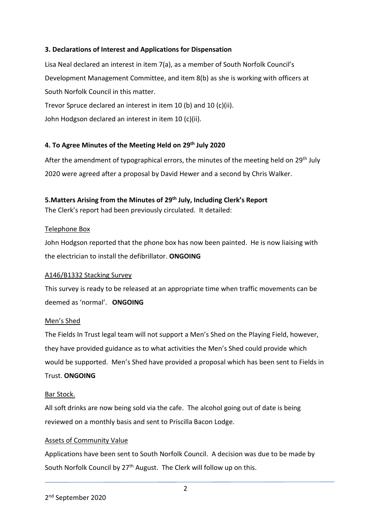### **3. Declarations of Interest and Applications for Dispensation**

Lisa Neal declared an interest in item 7(a), as a member of South Norfolk Council's Development Management Committee, and item 8(b) as she is working with officers at South Norfolk Council in this matter.

Trevor Spruce declared an interest in item 10 (b) and 10 (c)(ii).

John Hodgson declared an interest in item 10 (c)(ii).

### **4. To Agree Minutes of the Meeting Held on 29th July 2020**

After the amendment of typographical errors, the minutes of the meeting held on 29<sup>th</sup> July 2020 were agreed after a proposal by David Hewer and a second by Chris Walker.

### **5.Matters Arising from the Minutes of 29th July, Including Clerk's Report**

The Clerk's report had been previously circulated. It detailed:

### Telephone Box

John Hodgson reported that the phone box has now been painted. He is now liaising with the electrician to install the defibrillator. **ONGOING**

### A146/B1332 Stacking Survey

This survey is ready to be released at an appropriate time when traffic movements can be deemed as 'normal'. **ONGOING**

### Men's Shed

The Fields In Trust legal team will not support a Men's Shed on the Playing Field, however, they have provided guidance as to what activities the Men's Shed could provide which would be supported. Men's Shed have provided a proposal which has been sent to Fields in Trust. **ONGOING**

#### Bar Stock.

All soft drinks are now being sold via the cafe. The alcohol going out of date is being reviewed on a monthly basis and sent to Priscilla Bacon Lodge.

### Assets of Community Value

Applications have been sent to South Norfolk Council. A decision was due to be made by South Norfolk Council by 27<sup>th</sup> August. The Clerk will follow up on this.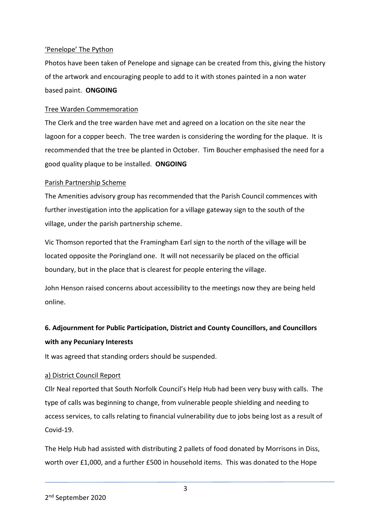#### 'Penelope' The Python

Photos have been taken of Penelope and signage can be created from this, giving the history of the artwork and encouraging people to add to it with stones painted in a non water based paint. **ONGOING**

#### Tree Warden Commemoration

The Clerk and the tree warden have met and agreed on a location on the site near the lagoon for a copper beech. The tree warden is considering the wording for the plaque. It is recommended that the tree be planted in October. Tim Boucher emphasised the need for a good quality plaque to be installed. **ONGOING**

### Parish Partnership Scheme

The Amenities advisory group has recommended that the Parish Council commences with further investigation into the application for a village gateway sign to the south of the village, under the parish partnership scheme.

Vic Thomson reported that the Framingham Earl sign to the north of the village will be located opposite the Poringland one. It will not necessarily be placed on the official boundary, but in the place that is clearest for people entering the village.

John Henson raised concerns about accessibility to the meetings now they are being held online.

# **6. Adjournment for Public Participation, District and County Councillors, and Councillors with any Pecuniary Interests**

It was agreed that standing orders should be suspended.

### a) District Council Report

Cllr Neal reported that South Norfolk Council's Help Hub had been very busy with calls. The type of calls was beginning to change, from vulnerable people shielding and needing to access services, to calls relating to financial vulnerability due to jobs being lost as a result of Covid-19.

The Help Hub had assisted with distributing 2 pallets of food donated by Morrisons in Diss, worth over £1,000, and a further £500 in household items. This was donated to the Hope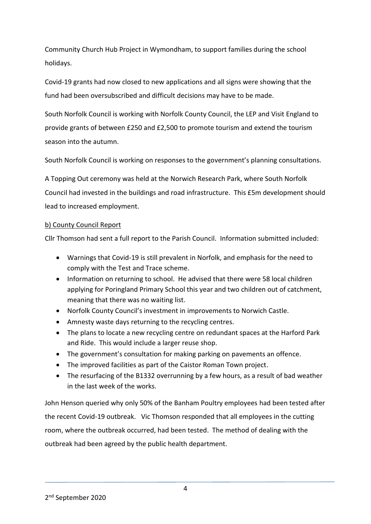Community Church Hub Project in Wymondham, to support families during the school holidays.

Covid-19 grants had now closed to new applications and all signs were showing that the fund had been oversubscribed and difficult decisions may have to be made.

South Norfolk Council is working with Norfolk County Council, the LEP and Visit England to provide grants of between £250 and £2,500 to promote tourism and extend the tourism season into the autumn.

South Norfolk Council is working on responses to the government's planning consultations.

A Topping Out ceremony was held at the Norwich Research Park, where South Norfolk Council had invested in the buildings and road infrastructure. This £5m development should lead to increased employment.

### b) County Council Report

Cllr Thomson had sent a full report to the Parish Council. Information submitted included:

- Warnings that Covid-19 is still prevalent in Norfolk, and emphasis for the need to comply with the Test and Trace scheme.
- Information on returning to school. He advised that there were 58 local children applying for Poringland Primary School this year and two children out of catchment, meaning that there was no waiting list.
- Norfolk County Council's investment in improvements to Norwich Castle.
- Amnesty waste days returning to the recycling centres.
- The plans to locate a new recycling centre on redundant spaces at the Harford Park and Ride. This would include a larger reuse shop.
- The government's consultation for making parking on pavements an offence.
- The improved facilities as part of the Caistor Roman Town project.
- The resurfacing of the B1332 overrunning by a few hours, as a result of bad weather in the last week of the works.

John Henson queried why only 50% of the Banham Poultry employees had been tested after the recent Covid-19 outbreak. Vic Thomson responded that all employees in the cutting room, where the outbreak occurred, had been tested. The method of dealing with the outbreak had been agreed by the public health department.

<sup>2</sup> nd September 2020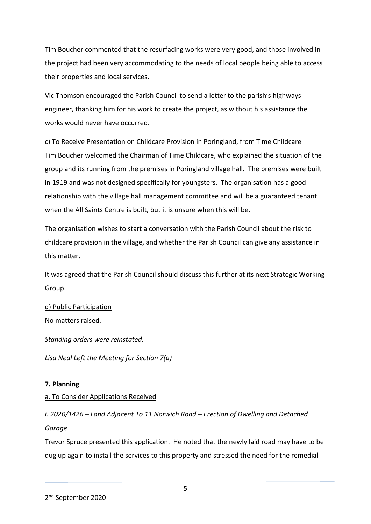Tim Boucher commented that the resurfacing works were very good, and those involved in the project had been very accommodating to the needs of local people being able to access their properties and local services.

Vic Thomson encouraged the Parish Council to send a letter to the parish's highways engineer, thanking him for his work to create the project, as without his assistance the works would never have occurred.

### c) To Receive Presentation on Childcare Provision in Poringland, from Time Childcare

Tim Boucher welcomed the Chairman of Time Childcare, who explained the situation of the group and its running from the premises in Poringland village hall. The premises were built in 1919 and was not designed specifically for youngsters. The organisation has a good relationship with the village hall management committee and will be a guaranteed tenant when the All Saints Centre is built, but it is unsure when this will be.

The organisation wishes to start a conversation with the Parish Council about the risk to childcare provision in the village, and whether the Parish Council can give any assistance in this matter.

It was agreed that the Parish Council should discuss this further at its next Strategic Working Group.

### d) Public Participation

No matters raised.

*Standing orders were reinstated.* 

*Lisa Neal Left the Meeting for Section 7(a)* 

### **7. Planning**

### a. To Consider Applications Received

*i. 2020/1426 – Land Adjacent To 11 Norwich Road – Erection of Dwelling and Detached Garage*

Trevor Spruce presented this application. He noted that the newly laid road may have to be dug up again to install the services to this property and stressed the need for the remedial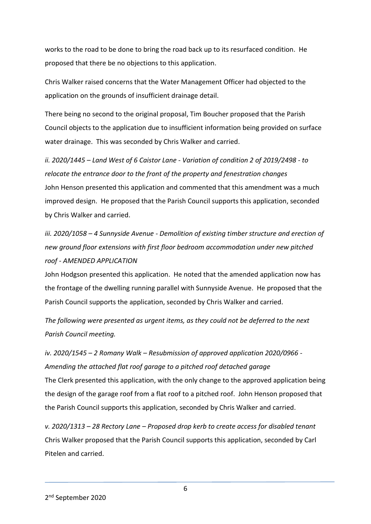works to the road to be done to bring the road back up to its resurfaced condition. He proposed that there be no objections to this application.

Chris Walker raised concerns that the Water Management Officer had objected to the application on the grounds of insufficient drainage detail.

There being no second to the original proposal, Tim Boucher proposed that the Parish Council objects to the application due to insufficient information being provided on surface water drainage. This was seconded by Chris Walker and carried.

*ii. 2020/1445 – Land West of 6 Caistor Lane - Variation of condition 2 of 2019/2498 - to relocate the entrance door to the front of the property and fenestration changes* John Henson presented this application and commented that this amendment was a much improved design. He proposed that the Parish Council supports this application, seconded by Chris Walker and carried.

*iii. 2020/1058 – 4 Sunnyside Avenue - Demolition of existing timber structure and erection of new ground floor extensions with first floor bedroom accommodation under new pitched roof - AMENDED APPLICATION*

John Hodgson presented this application. He noted that the amended application now has the frontage of the dwelling running parallel with Sunnyside Avenue. He proposed that the Parish Council supports the application, seconded by Chris Walker and carried.

*The following were presented as urgent items, as they could not be deferred to the next Parish Council meeting.* 

*iv. 2020/1545 – 2 Romany Walk – Resubmission of approved application 2020/0966 - Amending the attached flat roof garage to a pitched roof detached garage* The Clerk presented this application, with the only change to the approved application being the design of the garage roof from a flat roof to a pitched roof. John Henson proposed that the Parish Council supports this application, seconded by Chris Walker and carried.

*v. 2020/1313 – 28 Rectory Lane – Proposed drop kerb to create access for disabled tenant* Chris Walker proposed that the Parish Council supports this application, seconded by Carl Pitelen and carried.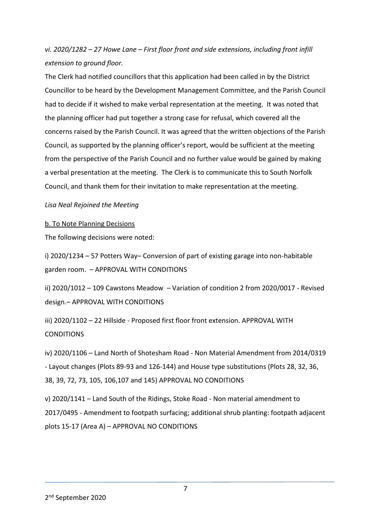*vi. 2020/1282 – 27 Howe Lane – First floor front and side extensions, including front infill extension to ground floor.*

The Clerk had notified councillors that this application had been called in by the District Councillor to be heard by the Development Management Committee, and the Parish Council had to decide if it wished to make verbal representation at the meeting. It was noted that the planning officer had put together a strong case for refusal, which covered all the concerns raised by the Parish Council. It was agreed that the written objections of the Parish Council, as supported by the planning officer's report, would be sufficient at the meeting from the perspective of the Parish Council and no further value would be gained by making a verbal presentation at the meeting. The Clerk is to communicate this to South Norfolk Council, and thank them for their invitation to make representation at the meeting.

#### *Lisa Neal Rejoined the Meeting*

#### b. To Note Planning Decisions

The following decisions were noted:

i) 2020/1234 – 57 Potters Way– Conversion of part of existing garage into non-habitable garden room. – APPROVAL WITH CONDITIONS

ii) 2020/1012 – 109 Cawstons Meadow – Variation of condition 2 from 2020/0017 - Revised design.– APPROVAL WITH CONDITIONS

iii) 2020/1102 – 22 Hillside - Proposed first floor front extension. APPROVAL WITH **CONDITIONS** 

iv) 2020/1106 – Land North of Shotesham Road - Non Material Amendment from 2014/0319 - Layout changes (Plots 89-93 and 126-144) and House type substitutions (Plots 28, 32, 36, 38, 39, 72, 73, 105, 106,107 and 145) APPROVAL NO CONDITIONS

v) 2020/1141 – Land South of the Ridings, Stoke Road - Non material amendment to 2017/0495 - Amendment to footpath surfacing; additional shrub planting: footpath adjacent plots 15-17 (Area A) – APPROVAL NO CONDITIONS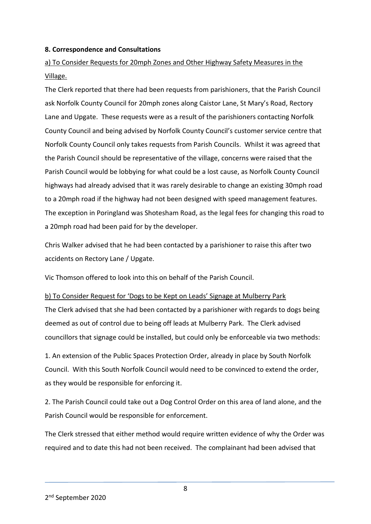#### **8. Correspondence and Consultations**

# a) To Consider Requests for 20mph Zones and Other Highway Safety Measures in the Village.

The Clerk reported that there had been requests from parishioners, that the Parish Council ask Norfolk County Council for 20mph zones along Caistor Lane, St Mary's Road, Rectory Lane and Upgate. These requests were as a result of the parishioners contacting Norfolk County Council and being advised by Norfolk County Council's customer service centre that Norfolk County Council only takes requests from Parish Councils. Whilst it was agreed that the Parish Council should be representative of the village, concerns were raised that the Parish Council would be lobbying for what could be a lost cause, as Norfolk County Council highways had already advised that it was rarely desirable to change an existing 30mph road to a 20mph road if the highway had not been designed with speed management features. The exception in Poringland was Shotesham Road, as the legal fees for changing this road to a 20mph road had been paid for by the developer.

Chris Walker advised that he had been contacted by a parishioner to raise this after two accidents on Rectory Lane / Upgate.

Vic Thomson offered to look into this on behalf of the Parish Council.

#### b) To Consider Request for 'Dogs to be Kept on Leads' Signage at Mulberry Park

The Clerk advised that she had been contacted by a parishioner with regards to dogs being deemed as out of control due to being off leads at Mulberry Park. The Clerk advised councillors that signage could be installed, but could only be enforceable via two methods:

1. An extension of the Public Spaces Protection Order, already in place by South Norfolk Council. With this South Norfolk Council would need to be convinced to extend the order, as they would be responsible for enforcing it.

2. The Parish Council could take out a Dog Control Order on this area of land alone, and the Parish Council would be responsible for enforcement.

The Clerk stressed that either method would require written evidence of why the Order was required and to date this had not been received. The complainant had been advised that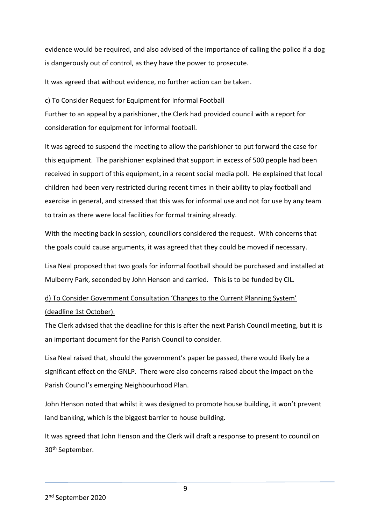evidence would be required, and also advised of the importance of calling the police if a dog is dangerously out of control, as they have the power to prosecute.

It was agreed that without evidence, no further action can be taken.

### c) To Consider Request for Equipment for Informal Football

Further to an appeal by a parishioner, the Clerk had provided council with a report for consideration for equipment for informal football.

It was agreed to suspend the meeting to allow the parishioner to put forward the case for this equipment. The parishioner explained that support in excess of 500 people had been received in support of this equipment, in a recent social media poll. He explained that local children had been very restricted during recent times in their ability to play football and exercise in general, and stressed that this was for informal use and not for use by any team to train as there were local facilities for formal training already.

With the meeting back in session, councillors considered the request. With concerns that the goals could cause arguments, it was agreed that they could be moved if necessary.

Lisa Neal proposed that two goals for informal football should be purchased and installed at Mulberry Park, seconded by John Henson and carried. This is to be funded by CIL.

# d) To Consider Government Consultation 'Changes to the Current Planning System' (deadline 1st October).

The Clerk advised that the deadline for this is after the next Parish Council meeting, but it is an important document for the Parish Council to consider.

Lisa Neal raised that, should the government's paper be passed, there would likely be a significant effect on the GNLP. There were also concerns raised about the impact on the Parish Council's emerging Neighbourhood Plan.

John Henson noted that whilst it was designed to promote house building, it won't prevent land banking, which is the biggest barrier to house building.

It was agreed that John Henson and the Clerk will draft a response to present to council on 30th September.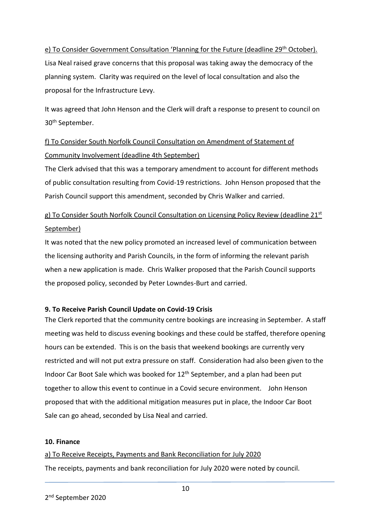# e) To Consider Government Consultation 'Planning for the Future (deadline 29<sup>th</sup> October). Lisa Neal raised grave concerns that this proposal was taking away the democracy of the planning system. Clarity was required on the level of local consultation and also the proposal for the Infrastructure Levy.

It was agreed that John Henson and the Clerk will draft a response to present to council on 30th September.

# f) To Consider South Norfolk Council Consultation on Amendment of Statement of Community Involvement (deadline 4th September)

The Clerk advised that this was a temporary amendment to account for different methods of public consultation resulting from Covid-19 restrictions. John Henson proposed that the Parish Council support this amendment, seconded by Chris Walker and carried.

# g) To Consider South Norfolk Council Consultation on Licensing Policy Review (deadline  $21^{st}$ September)

It was noted that the new policy promoted an increased level of communication between the licensing authority and Parish Councils, in the form of informing the relevant parish when a new application is made. Chris Walker proposed that the Parish Council supports the proposed policy, seconded by Peter Lowndes-Burt and carried.

### **9. To Receive Parish Council Update on Covid-19 Crisis**

The Clerk reported that the community centre bookings are increasing in September. A staff meeting was held to discuss evening bookings and these could be staffed, therefore opening hours can be extended. This is on the basis that weekend bookings are currently very restricted and will not put extra pressure on staff. Consideration had also been given to the Indoor Car Boot Sale which was booked for 12<sup>th</sup> September, and a plan had been put together to allow this event to continue in a Covid secure environment. John Henson proposed that with the additional mitigation measures put in place, the Indoor Car Boot Sale can go ahead, seconded by Lisa Neal and carried.

### **10. Finance**

a) To Receive Receipts, Payments and Bank Reconciliation for July 2020 The receipts, payments and bank reconciliation for July 2020 were noted by council.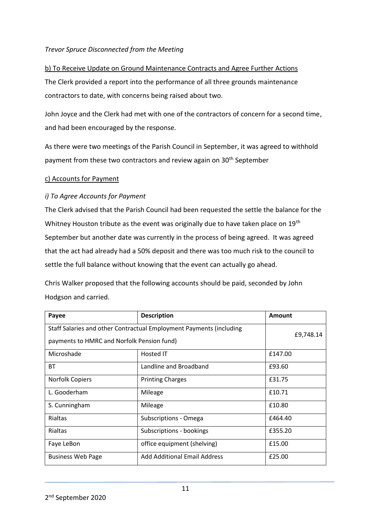### *Trevor Spruce Disconnected from the Meeting*

# b) To Receive Update on Ground Maintenance Contracts and Agree Further Actions The Clerk provided a report into the performance of all three grounds maintenance contractors to date, with concerns being raised about two.

John Joyce and the Clerk had met with one of the contractors of concern for a second time, and had been encouraged by the response.

As there were two meetings of the Parish Council in September, it was agreed to withhold payment from these two contractors and review again on 30<sup>th</sup> September

#### c) Accounts for Payment

### *i) To Agree Accounts for Payment*

The Clerk advised that the Parish Council had been requested the settle the balance for the Whitney Houston tribute as the event was originally due to have taken place on 19<sup>th</sup> September but another date was currently in the process of being agreed. It was agreed that the act had already had a 50% deposit and there was too much risk to the council to settle the full balance without knowing that the event can actually go ahead.

Chris Walker proposed that the following accounts should be paid, seconded by John Hodgson and carried.

| Payee                                                                                                             | <b>Description</b>                  | Amount    |
|-------------------------------------------------------------------------------------------------------------------|-------------------------------------|-----------|
| Staff Salaries and other Contractual Employment Payments (including<br>payments to HMRC and Norfolk Pension fund) |                                     | £9,748.14 |
| Microshade                                                                                                        | Hosted IT                           | £147.00   |
| <b>BT</b>                                                                                                         | Landline and Broadband              | £93.60    |
| <b>Norfolk Copiers</b>                                                                                            | <b>Printing Charges</b>             | £31.75    |
| L. Gooderham                                                                                                      | Mileage                             | £10.71    |
| S. Cunningham                                                                                                     | Mileage                             | £10.80    |
| <b>Rialtas</b>                                                                                                    | Subscriptions - Omega               | £464.40   |
| <b>Rialtas</b>                                                                                                    | Subscriptions - bookings            | £355.20   |
| Faye LeBon                                                                                                        | office equipment (shelving)         | £15.00    |
| <b>Business Web Page</b>                                                                                          | <b>Add Additional Email Address</b> | £25.00    |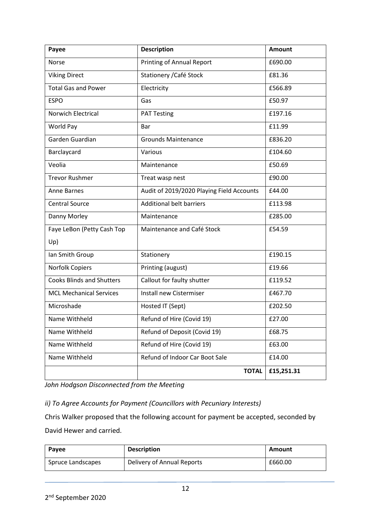| Payee                            | <b>Description</b>                        | <b>Amount</b> |
|----------------------------------|-------------------------------------------|---------------|
| Norse                            | <b>Printing of Annual Report</b>          | £690.00       |
| <b>Viking Direct</b>             | Stationery / Café Stock                   | £81.36        |
| <b>Total Gas and Power</b>       | Electricity                               | £566.89       |
| <b>ESPO</b>                      | Gas                                       | £50.97        |
| Norwich Electrical               | <b>PAT Testing</b>                        | £197.16       |
| World Pay                        | Bar                                       | £11.99        |
| Garden Guardian                  | <b>Grounds Maintenance</b>                | £836.20       |
| Barclaycard                      | Various                                   | £104.60       |
| Veolia                           | Maintenance                               | £50.69        |
| <b>Trevor Rushmer</b>            | Treat wasp nest                           | £90.00        |
| <b>Anne Barnes</b>               | Audit of 2019/2020 Playing Field Accounts | £44.00        |
| <b>Central Source</b>            | <b>Additional belt barriers</b>           | £113.98       |
| Danny Morley                     | Maintenance                               | £285.00       |
| Faye LeBon (Petty Cash Top       | Maintenance and Café Stock                | £54.59        |
| Up)                              |                                           |               |
| Ian Smith Group                  | Stationery                                | £190.15       |
| Norfolk Copiers                  | Printing (august)                         | £19.66        |
| <b>Cooks Blinds and Shutters</b> | Callout for faulty shutter                | £119.52       |
| <b>MCL Mechanical Services</b>   | Install new Cistermiser                   | £467.70       |
| Microshade                       | Hosted IT (Sept)                          | £202.50       |
| Name Withheld                    | Refund of Hire (Covid 19)                 | £27.00        |
| Name Withheld                    | Refund of Deposit (Covid 19)              | £68.75        |
| Name Withheld                    | Refund of Hire (Covid 19)                 | £63.00        |
| Name Withheld                    | Refund of Indoor Car Boot Sale            | £14.00        |
|                                  | <b>TOTAL</b>                              | £15,251.31    |

*John Hodgson Disconnected from the Meeting*

*ii) To Agree Accounts for Payment (Councillors with Pecuniary Interests)*

Chris Walker proposed that the following account for payment be accepted, seconded by David Hewer and carried.

| Payee             | <b>Description</b>         | Amount  |
|-------------------|----------------------------|---------|
| Spruce Landscapes | Delivery of Annual Reports | £660.00 |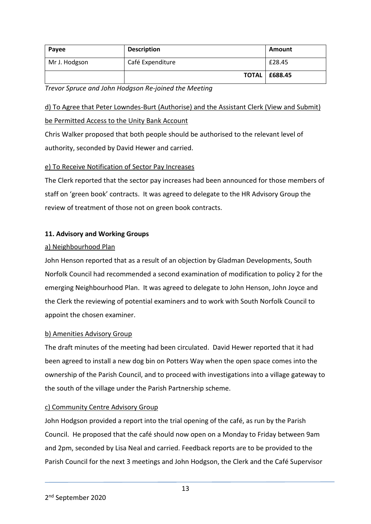| Payee         | <b>Description</b> | Amount                 |
|---------------|--------------------|------------------------|
| Mr J. Hodgson | Café Expenditure   | £28.45                 |
|               |                    | <b>TOTAL   £688.45</b> |

*Trevor Spruce and John Hodgson Re-joined the Meeting*

## d) To Agree that Peter Lowndes-Burt (Authorise) and the Assistant Clerk (View and Submit) be Permitted Access to the Unity Bank Account

Chris Walker proposed that both people should be authorised to the relevant level of authority, seconded by David Hewer and carried.

### e) To Receive Notification of Sector Pay Increases

The Clerk reported that the sector pay increases had been announced for those members of staff on 'green book' contracts. It was agreed to delegate to the HR Advisory Group the review of treatment of those not on green book contracts.

### **11. Advisory and Working Groups**

### a) Neighbourhood Plan

John Henson reported that as a result of an objection by Gladman Developments, South Norfolk Council had recommended a second examination of modification to policy 2 for the emerging Neighbourhood Plan. It was agreed to delegate to John Henson, John Joyce and the Clerk the reviewing of potential examiners and to work with South Norfolk Council to appoint the chosen examiner.

### b) Amenities Advisory Group

The draft minutes of the meeting had been circulated. David Hewer reported that it had been agreed to install a new dog bin on Potters Way when the open space comes into the ownership of the Parish Council, and to proceed with investigations into a village gateway to the south of the village under the Parish Partnership scheme.

### c) Community Centre Advisory Group

John Hodgson provided a report into the trial opening of the café, as run by the Parish Council. He proposed that the café should now open on a Monday to Friday between 9am and 2pm, seconded by Lisa Neal and carried. Feedback reports are to be provided to the Parish Council for the next 3 meetings and John Hodgson, the Clerk and the Café Supervisor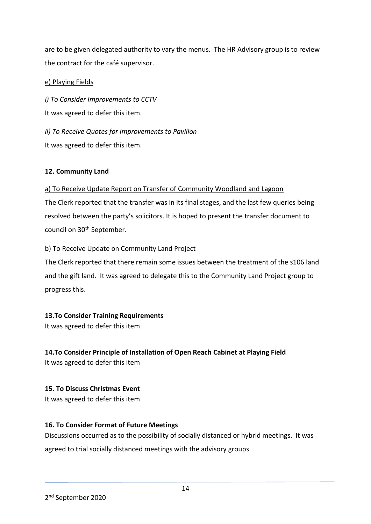are to be given delegated authority to vary the menus. The HR Advisory group is to review the contract for the café supervisor.

### e) Playing Fields

*i) To Consider Improvements to CCTV* It was agreed to defer this item.

*ii) To Receive Quotes for Improvements to Pavilion* It was agreed to defer this item.

### **12. Community Land**

### a) To Receive Update Report on Transfer of Community Woodland and Lagoon

The Clerk reported that the transfer was in its final stages, and the last few queries being resolved between the party's solicitors. It is hoped to present the transfer document to council on 30th September.

### b) To Receive Update on Community Land Project

The Clerk reported that there remain some issues between the treatment of the s106 land and the gift land. It was agreed to delegate this to the Community Land Project group to progress this.

### **13.To Consider Training Requirements**

It was agreed to defer this item

### **14.To Consider Principle of Installation of Open Reach Cabinet at Playing Field**

It was agreed to defer this item

### **15. To Discuss Christmas Event**

It was agreed to defer this item

### **16. To Consider Format of Future Meetings**

Discussions occurred as to the possibility of socially distanced or hybrid meetings. It was

agreed to trial socially distanced meetings with the advisory groups.